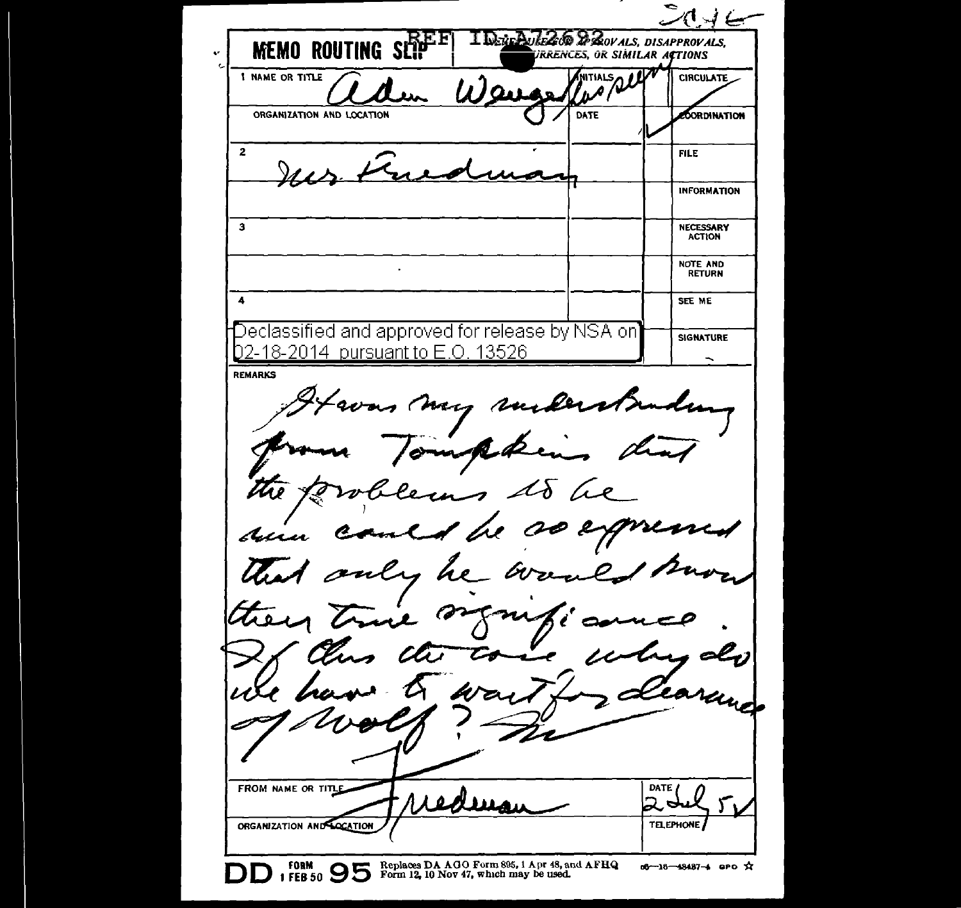سے ہہ I DEREPULSADO DE SOVALS, DISAPPROVALS. **MEMO ROUTING SEP IRRENCES, OR SIMILAR ACTIONS** MITIALS QUE **1 NAME OR TITLE CIRCULATE** ORGANIZATION AND LOCATION DATE edordination  $\overline{2}$ **FILE INFORMATION** 3 NECESSARY ACTION NOTE AND RETURN 4 SEE ME  $\mathsf D$ eclassified and approved for release by NSA on $\mathsf I$ SIGNATURE 02-18-2014 pursuant to E.O. 13526  $\overline{\phantom{0}}$ REMARKS as may rusker ompten the 12 lems to be rol med he so expre Aun only he and Warn they true  $\sigma$ n سمت elj FROM NAME OR TITLE DATE  $\Delta$ TELEPHONE. ORGANIZATION AND COCATION Replaces DA A 0 0 Form 895, I A pr 48, and AFRQ Form 12, 10 Nov 47, which may be used. o6-16-48487-4 aPO ☆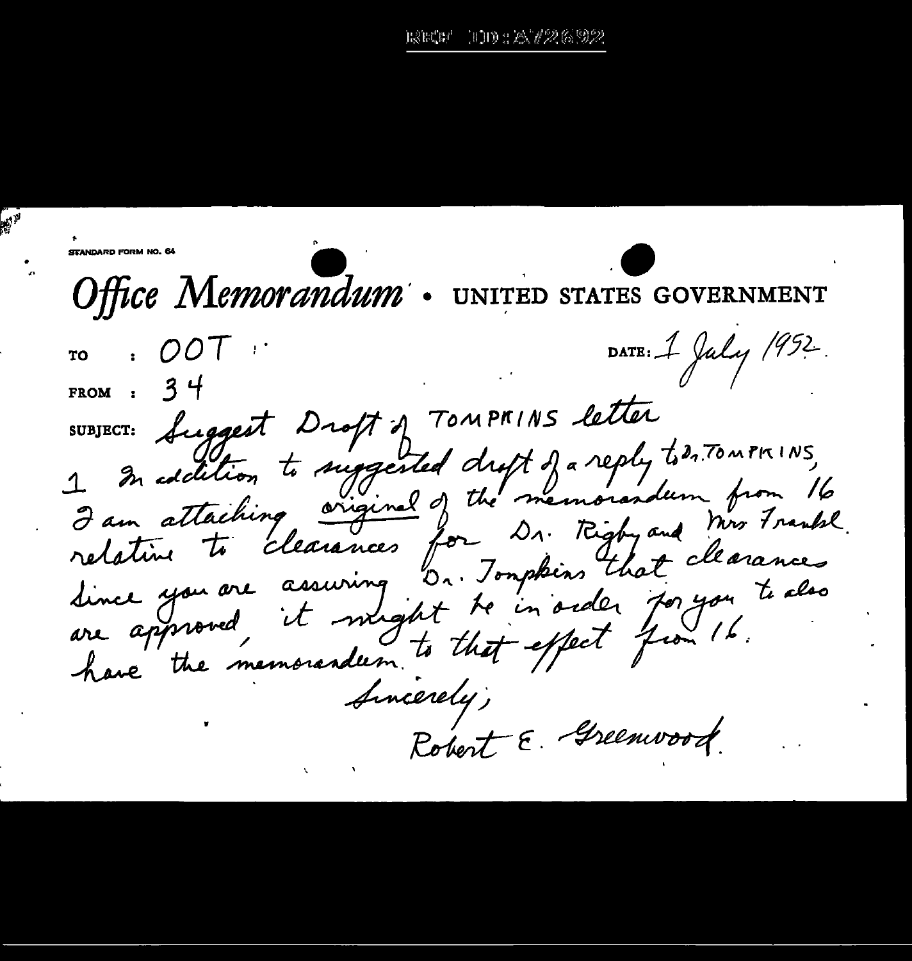## - 1111 : A 726 92 terre

STANDARD FORM NO. 64 Office Memorandum UNITED STATES GOVERNMENT DATE: 1 July 1952. OOT ፐባ 34 **FROM** Suggest Droft of TOMPRINS letter SUBJECT: 1. In edition to suggested dropt of a reply to 2. TOMPRINS, I am attaching, original of the memorandum from 16 relative to clearances for Dr. Rigby and Mrs Frankl. dince you are assuring b. Jomphins that clearances are approved, it might to in order for you to also have the memorandum to that effect from 16. Sincerely, Robert E. Greenwood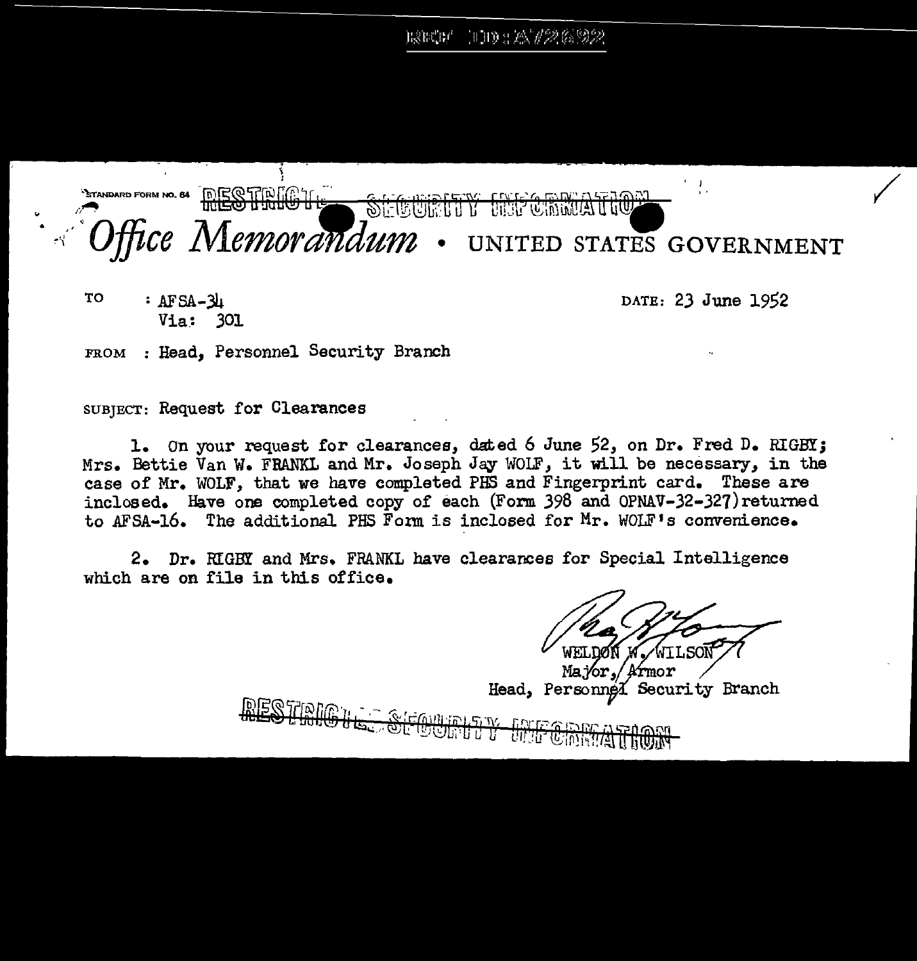RETT IDD : AV2692



TO : AFSA-34 Via\_: 301 DATE: 23 June 1952

FROM : Head, Personnel Security Branch

SUBJECT: Request for Clearances

1. On your request for clearances, dated 6 June 52, on Dr. Fred D. RIGBY; Mrs. Bettie Van W. FRANKL and Mr. Joseph Jay WOLF, it will be necessary, in the case of Mr. WOLF, that we have completed PHS and Fingerprint card. These are inclosed. Have one completed copy of each (Form 398 and OPNAV-32-327)returned to AFSA-16. The additional PHS Form is inclosed for Mr. WOLF's convenience.

2. Dr. IUGBY and Mrs. FRANKL have clearances for Special Intelligence which are on file in this office.

Ma Yor rmor Security Branch Head, Personnel

**DESTIDIO:** <u> Alea para sana</u> <del>womttyw</del> **WOO DE ANTIONAL TROOP**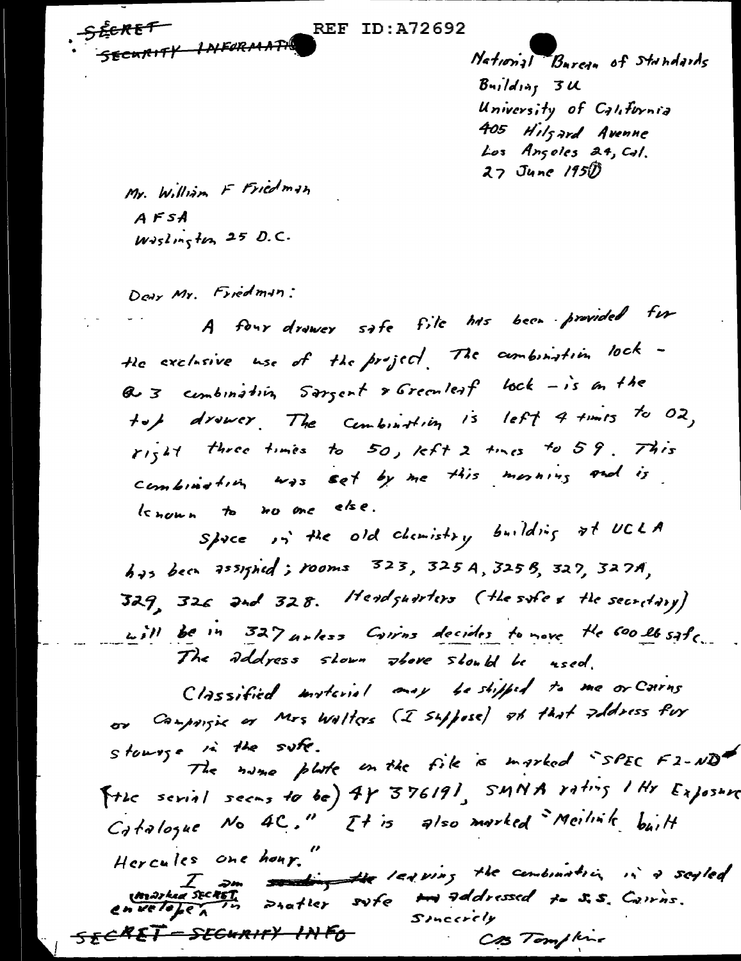<del>SECRET</del> SECURITY INFORMATION

**REF ID:A72692** 

National Bureau of Standards  $B$ uilding  $3u$ University of California 405 Hilfard Avenne Los Angoles 24, Cal.  $27$  June  $1950$ 

Mr. William F Friedman  $A$  $F$  $S$  $A$  $W\partial sln\sqrt{t}$  25 D.C.

Down Mr. Friedman:

A four drawer safe file has been provided for the exclusive use of the project. The combination lock -Q 3 combination sargent & Greenleaf lock - is an the top drower. The combination is left 4 times to 02, right three times to 50, left 2 times to 59. This Combination was set by me this morning and is known to no one else.

Space in the old chemistry building at UCLA has been assigned; rooms 323, 325 A, 325 B, 327, 327A,  $329$ ,  $326$  and  $328$ . Headquarters (the safe & the secretary) will be in 327 unless Carros decides to nove the 600 lb safe. The address shown above should be used.

Classified insteriol may be shipped to me or Carns or Campaigns or Mrs Walters (I suppose) at that address for stowage in the suff. The name plate in the file is marked "SPEC F2-ND" The serial seems to be)  $4r$   $376191$ ,  $5MNA$   $r_1+r_5$  I Hr  $E_{\lambda}$   $\rho s_+r_0$ Catalogue No 4C." It is also marked Meilink built Hercules one hour." Consideration and the leaguing the combination in a scyled Sincerely <del>SECRET - SECURITY IN FO-</del> CAS Tompline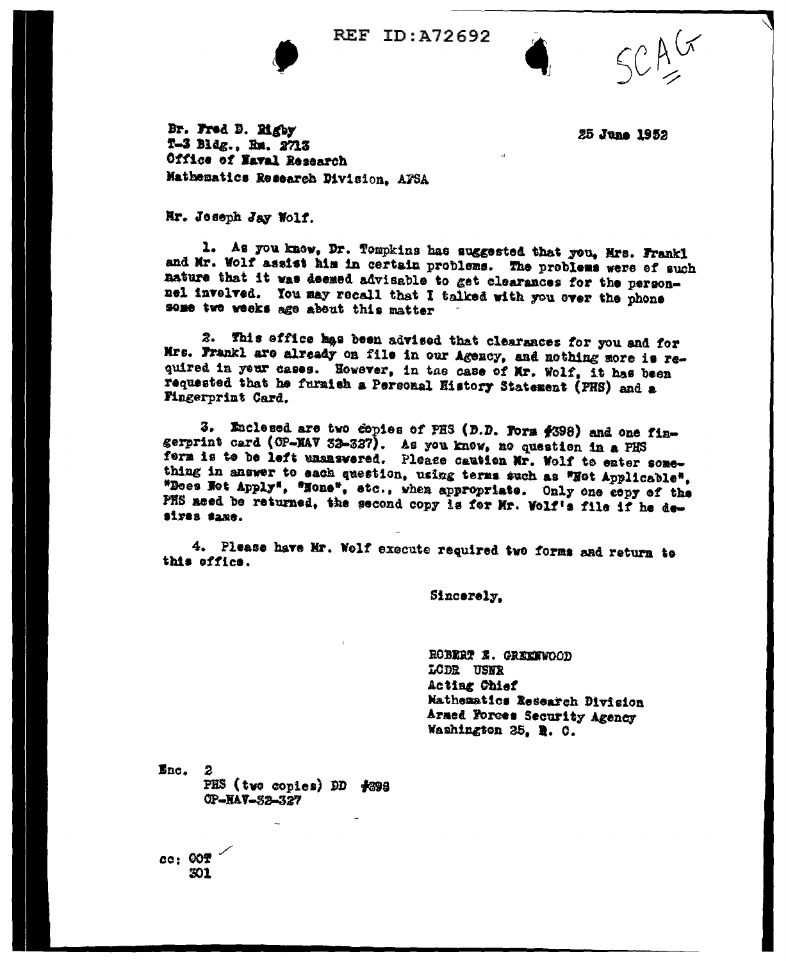

**REF ID: A72692** 

Br. Fred B. Rigby T-3 Bldg., Rm. 2713 Office of Naval Research Mathematics Research Division, AFSA

25 June 1952

## Nr. Joseph Jay Wolf.

1. As you know, Dr. Tompkins has suggested that you, Mrs. Frankl and Mr. Wolf assist him in certain problems. The problems were of such nature that it was deemed advisable to get clearances for the personnel invelved. You may recall that I talked with you ever the phone some two weeks age about this matter

This effice has been advised that clearances for you and for Mrs. Frankl are already on file in our Agency, and nothing more is required in your cases. However, in the case of Mr. Wolf, it has been requested that he furnish a Personal History Statement (PHS) and a Fingerprint Card.

3. Enclosed are two copies of PHS (D.D. Form #398) and one fingerprint card (OP-NAV 32-327). As you know, no question in a PHS form is to be left unanswered. Please caution Mr. Wolf to enter something in answer to each question, using terms such as "Hot Applicable", "Does Net Apply", "None", etc., when appropriate. Only one copy of the PHS aced be returned, the second copy is for Mr. Wolf's file if he desiyes same.

4. Please have Mr. Wolf execute required two forms and return to this effice.

Sincerely.

ROBERT E. GREENWOOD LODR USNR Acting Chief Mathematics Research Division Armed Forces Security Agency Washington 25, R. C.

Enc. PHS (two copies) DD #398 OP-HAV-52-327

cc: 00? 501